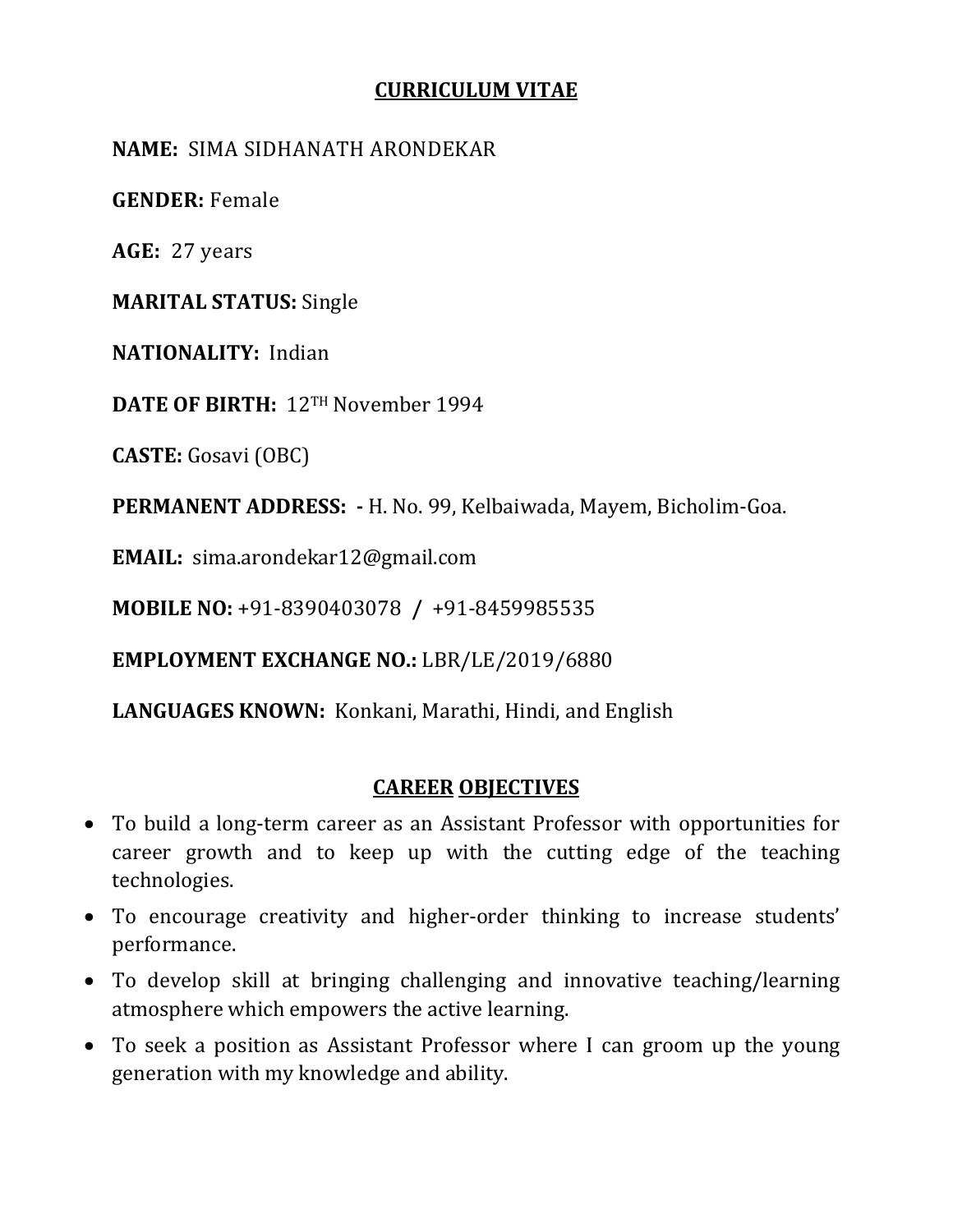#### **CURRICULUM VITAE**

#### **NAME:** SIMA SIDHANATH ARONDEKAR

**GENDER:** Female

**AGE:** 27 years

**MARITAL STATUS:** Single

**NATIONALITY:** Indian

**DATE OF BIRTH:** 12TH November 1994

**CASTE:** Gosavi (OBC)

**PERMANENT ADDRESS: -** H. No. 99, Kelbaiwada, Mayem, Bicholim-Goa.

**EMAIL:** sima.arondekar12@gmail.com

**MOBILE NO:** +91-8390403078 **/** +91-8459985535

**EMPLOYMENT EXCHANGE NO.:** LBR/LE/2019/6880

**LANGUAGES KNOWN:** Konkani, Marathi, Hindi, and English

# **CAREER OBJECTIVES**

- To build a long-term career as an Assistant Professor with opportunities for career growth and to keep up with the cutting edge of the teaching technologies.
- To encourage creativity and higher-order thinking to increase students' performance.
- To develop skill at bringing challenging and innovative teaching/learning atmosphere which empowers the active learning.
- To seek a position as Assistant Professor where I can groom up the young generation with my knowledge and ability.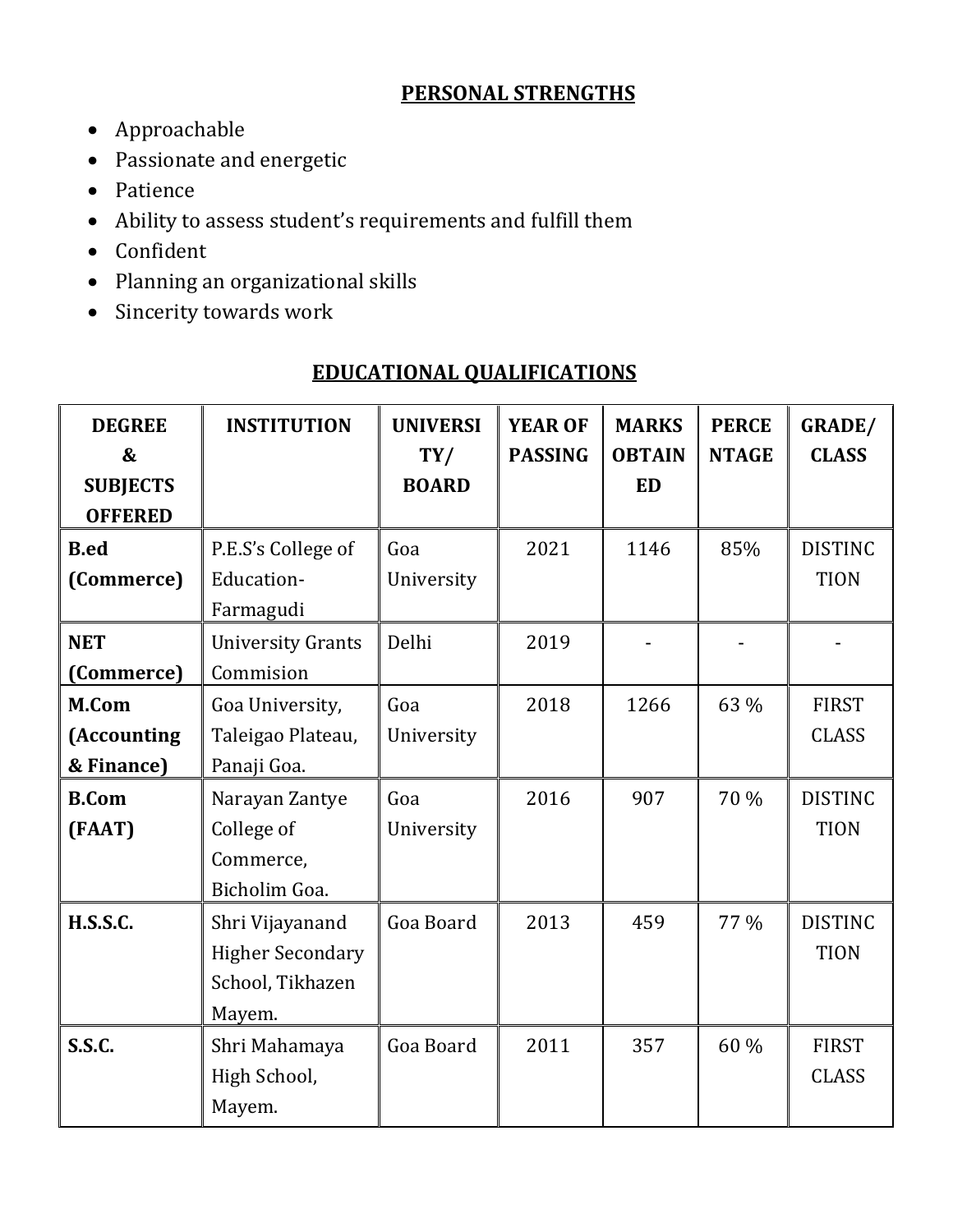# **PERSONAL STRENGTHS**

- Approachable
- Passionate and energetic
- Patience
- Ability to assess student's requirements and fulfill them
- Confident
- Planning an organizational skills
- Sincerity towards work

# **EDUCATIONAL QUALIFICATIONS**

| <b>DEGREE</b>   | <b>INSTITUTION</b>       | <b>UNIVERSI</b> | <b>YEAR OF</b> | <b>MARKS</b>  | <b>PERCE</b> | <b>GRADE/</b>  |
|-----------------|--------------------------|-----------------|----------------|---------------|--------------|----------------|
| &               |                          | TY/             | <b>PASSING</b> | <b>OBTAIN</b> | <b>NTAGE</b> | <b>CLASS</b>   |
| <b>SUBJECTS</b> |                          | <b>BOARD</b>    |                | <b>ED</b>     |              |                |
| <b>OFFERED</b>  |                          |                 |                |               |              |                |
| <b>B.ed</b>     | P.E.S's College of       | Goa             | 2021           | 1146          | 85%          | <b>DISTINC</b> |
| (Commerce)      | Education-               | University      |                |               |              | <b>TION</b>    |
|                 | Farmagudi                |                 |                |               |              |                |
| <b>NET</b>      | <b>University Grants</b> | Delhi           | 2019           |               |              |                |
| (Commerce)      | Commision                |                 |                |               |              |                |
| M.Com           | Goa University,          | Goa             | 2018           | 1266          | 63 %         | <b>FIRST</b>   |
| (Accounting     | Taleigao Plateau,        | University      |                |               |              | <b>CLASS</b>   |
| & Finance)      | Panaji Goa.              |                 |                |               |              |                |
| <b>B.Com</b>    | Narayan Zantye           | Goa             | 2016           | 907           | 70 %         | <b>DISTINC</b> |
| (FAAT)          | College of               | University      |                |               |              | <b>TION</b>    |
|                 | Commerce,                |                 |                |               |              |                |
|                 | Bicholim Goa.            |                 |                |               |              |                |
| <b>H.S.S.C.</b> | Shri Vijayanand          | Goa Board       | 2013           | 459           | 77 %         | <b>DISTINC</b> |
|                 | <b>Higher Secondary</b>  |                 |                |               |              | <b>TION</b>    |
|                 | School, Tikhazen         |                 |                |               |              |                |
|                 | Mayem.                   |                 |                |               |              |                |
| <b>S.S.C.</b>   | Shri Mahamaya            | Goa Board       | 2011           | 357           | 60 %         | <b>FIRST</b>   |
|                 | High School,             |                 |                |               |              | <b>CLASS</b>   |
|                 | Mayem.                   |                 |                |               |              |                |